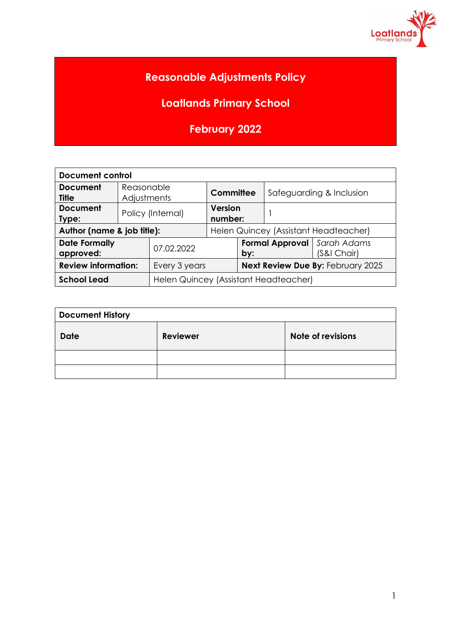

# **Reasonable Adjustments Policy**

**Loatlands Primary School**

**February 2022**

| <b>Document control</b>           |                           |                                       |                                       |                                             |                          |             |  |  |
|-----------------------------------|---------------------------|---------------------------------------|---------------------------------------|---------------------------------------------|--------------------------|-------------|--|--|
| <b>Document</b><br><b>Title</b>   | Reasonable<br>Adjustments |                                       | Committee                             |                                             | Safeguarding & Inclusion |             |  |  |
| <b>Document</b><br>Type:          | Policy (Internal)         |                                       | <b>Version</b><br>number:             |                                             |                          |             |  |  |
| Author (name & job title):        |                           |                                       | Helen Quincey (Assistant Headteacher) |                                             |                          |             |  |  |
| <b>Date Formally</b><br>approved: |                           | 07.02.2022                            |                                       | <b>Formal Approval</b>   Sarah Adams<br>by: |                          | (S&I Chair) |  |  |
| <b>Review information:</b>        |                           | Every 3 years                         |                                       | Next Review Due By: February 2025           |                          |             |  |  |
| <b>School Lead</b>                |                           | Helen Quincey (Assistant Headteacher) |                                       |                                             |                          |             |  |  |

| <b>Document History</b> |                 |                   |  |  |  |  |
|-------------------------|-----------------|-------------------|--|--|--|--|
| <b>Date</b>             | <b>Reviewer</b> | Note of revisions |  |  |  |  |
|                         |                 |                   |  |  |  |  |
|                         |                 |                   |  |  |  |  |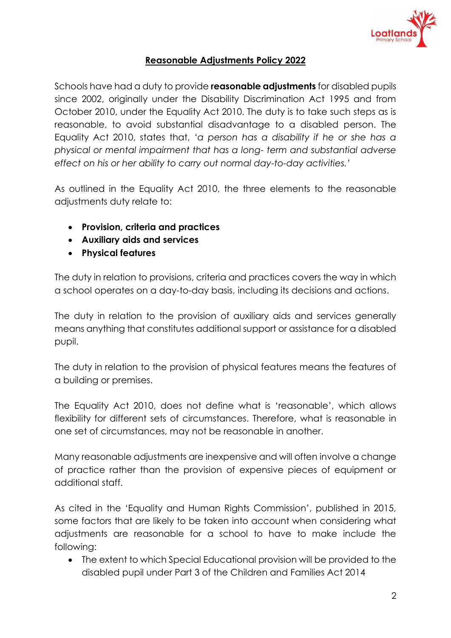

## **Reasonable Adjustments Policy 2022**

Schools have had a duty to provide **reasonable adjustments** for disabled pupils since 2002, originally under the Disability Discrimination Act 1995 and from October 2010, under the Equality Act 2010. The duty is to take such steps as is reasonable, to avoid substantial disadvantage to a disabled person. The Equality Act 2010, states that, *'a person has a disability if he or she has a physical or mental impairment that has a long- term and substantial adverse effect on his or her ability to carry out normal day-to-day activities.'*

As outlined in the Equality Act 2010, the three elements to the reasonable adjustments duty relate to:

- **Provision, criteria and practices**
- **Auxiliary aids and services**
- **Physical features**

The duty in relation to provisions, criteria and practices covers the way in which a school operates on a day-to-day basis, including its decisions and actions.

The duty in relation to the provision of auxiliary aids and services generally means anything that constitutes additional support or assistance for a disabled pupil.

The duty in relation to the provision of physical features means the features of a building or premises.

The Equality Act 2010, does not define what is 'reasonable', which allows flexibility for different sets of circumstances. Therefore, what is reasonable in one set of circumstances, may not be reasonable in another.

Many reasonable adjustments are inexpensive and will often involve a change of practice rather than the provision of expensive pieces of equipment or additional staff.

As cited in the 'Equality and Human Rights Commission', published in 2015, some factors that are likely to be taken into account when considering what adjustments are reasonable for a school to have to make include the following:

• The extent to which Special Educational provision will be provided to the disabled pupil under Part 3 of the Children and Families Act 2014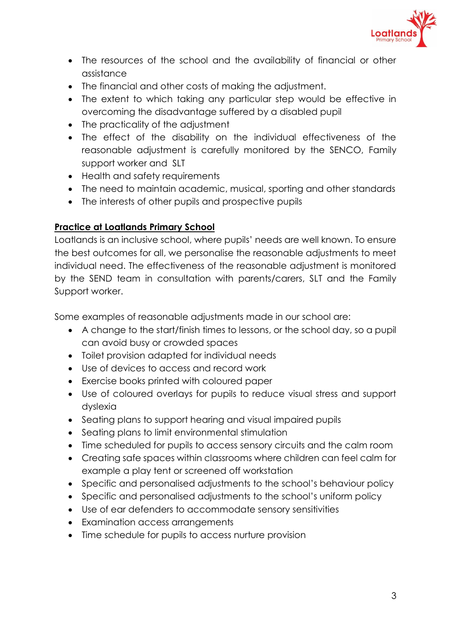

- The resources of the school and the availability of financial or other assistance
- The financial and other costs of making the adjustment.
- The extent to which taking any particular step would be effective in overcoming the disadvantage suffered by a disabled pupil
- The practicality of the adjustment
- The effect of the disability on the individual effectiveness of the reasonable adjustment is carefully monitored by the SENCO, Family support worker and SLT
- Health and safety requirements
- The need to maintain academic, musical, sporting and other standards
- The interests of other pupils and prospective pupils

## **Practice at Loatlands Primary School**

Loatlands is an inclusive school, where pupils' needs are well known. To ensure the best outcomes for all, we personalise the reasonable adjustments to meet individual need. The effectiveness of the reasonable adjustment is monitored by the SEND team in consultation with parents/carers, SLT and the Family Support worker.

Some examples of reasonable adjustments made in our school are:

- A change to the start/finish times to lessons, or the school day, so a pupil can avoid busy or crowded spaces
- Toilet provision adapted for individual needs
- Use of devices to access and record work
- Exercise books printed with coloured paper
- Use of coloured overlays for pupils to reduce visual stress and support dyslexia
- Seating plans to support hearing and visual impaired pupils
- Seating plans to limit environmental stimulation
- Time scheduled for pupils to access sensory circuits and the calm room
- Creating safe spaces within classrooms where children can feel calm for example a play tent or screened off workstation
- Specific and personalised adjustments to the school's behaviour policy
- Specific and personalised adjustments to the school's uniform policy
- Use of ear defenders to accommodate sensory sensitivities
- Examination access arrangements
- Time schedule for pupils to access nurture provision